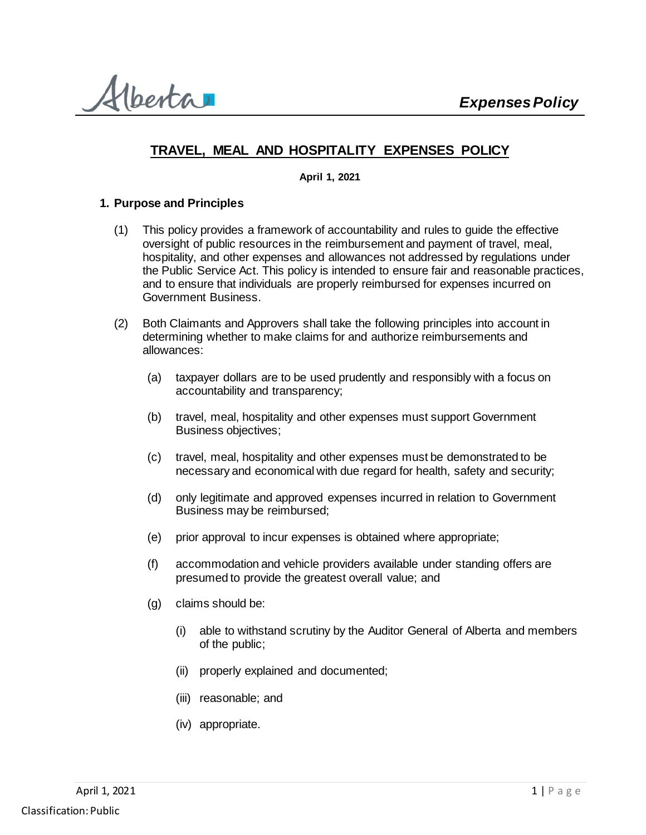Alberta

# **TRAVEL, MEAL AND HOSPITALITY EXPENSES POLICY**

**April 1, 2021**

### **1. Purpose and Principles**

- (1) This policy provides a framework of accountability and rules to guide the effective oversight of public resources in the reimbursement and payment of travel, meal, hospitality, and other expenses and allowances not addressed by regulations under the Public Service Act. This policy is intended to ensure fair and reasonable practices, and to ensure that individuals are properly reimbursed for expenses incurred on Government Business.
- (2) Both Claimants and Approvers shall take the following principles into account in determining whether to make claims for and authorize reimbursements and allowances:
	- (a) taxpayer dollars are to be used prudently and responsibly with a focus on accountability and transparency;
	- (b) travel, meal, hospitality and other expenses must support Government Business objectives;
	- (c) travel, meal, hospitality and other expenses must be demonstrated to be necessary and economical with due regard for health, safety and security;
	- (d) only legitimate and approved expenses incurred in relation to Government Business may be reimbursed;
	- (e) prior approval to incur expenses is obtained where appropriate;
	- (f) accommodation and vehicle providers available under standing offers are presumed to provide the greatest overall value; and
	- (g) claims should be:
		- (i) able to withstand scrutiny by the Auditor General of Alberta and members of the public;
		- (ii) properly explained and documented;
		- (iii) reasonable; and
		- (iv) appropriate.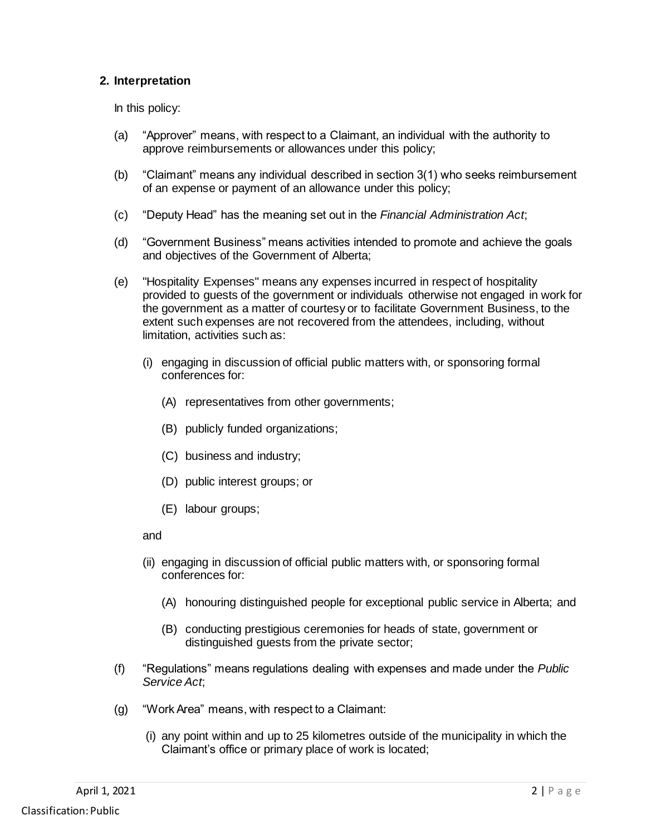### **2. Interpretation**

In this policy:

- (a) "Approver" means, with respect to a Claimant, an individual with the authority to approve reimbursements or allowances under this policy;
- (b) "Claimant" means any individual described in section 3(1) who seeks reimbursement of an expense or payment of an allowance under this policy;
- (c) "Deputy Head" has the meaning set out in the *Financial Administration Act*;
- (d) "Government Business" means activities intended to promote and achieve the goals and objectives of the Government of Alberta;
- (e) "Hospitality Expenses" means any expenses incurred in respect of hospitality provided to guests of the government or individuals otherwise not engaged in work for the government as a matter of courtesy or to facilitate Government Business, to the extent such expenses are not recovered from the attendees, including, without limitation, activities such as:
	- (i) engaging in discussion of official public matters with, or sponsoring formal conferences for:
		- (A) representatives from other governments;
		- (B) publicly funded organizations;
		- (C) business and industry;
		- (D) public interest groups; or
		- (E) labour groups;

and

- (ii) engaging in discussion of official public matters with, or sponsoring formal conferences for:
	- (A) honouring distinguished people for exceptional public service in Alberta; and
	- (B) conducting prestigious ceremonies for heads of state, government or distinguished guests from the private sector;
- (f) "Regulations" means regulations dealing with expenses and made under the *Public Service Act*;
- (g) "Work Area" means, with respect to a Claimant:
	- (i) any point within and up to 25 kilometres outside of the municipality in which the Claimant's office or primary place of work is located;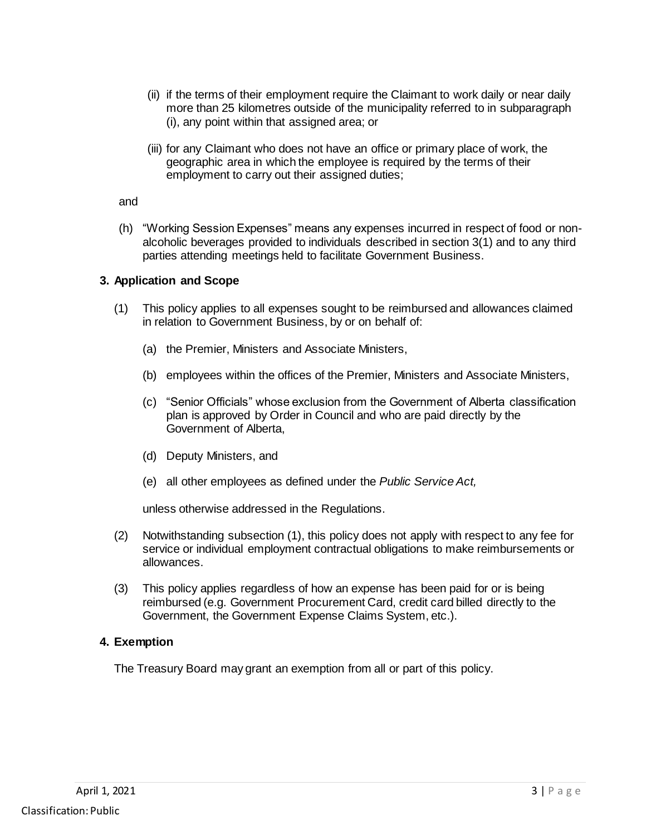- (ii) if the terms of their employment require the Claimant to work daily or near daily more than 25 kilometres outside of the municipality referred to in subparagraph (i), any point within that assigned area; or
- (iii) for any Claimant who does not have an office or primary place of work, the geographic area in which the employee is required by the terms of their employment to carry out their assigned duties;

and

(h) "Working Session Expenses" means any expenses incurred in respect of food or nonalcoholic beverages provided to individuals described in section 3(1) and to any third parties attending meetings held to facilitate Government Business.

#### **3. Application and Scope**

- (1) This policy applies to all expenses sought to be reimbursed and allowances claimed in relation to Government Business, by or on behalf of:
	- (a) the Premier, Ministers and Associate Ministers,
	- (b) employees within the offices of the Premier, Ministers and Associate Ministers,
	- (c) "Senior Officials" whose exclusion from the Government of Alberta classification plan is approved by Order in Council and who are paid directly by the Government of Alberta,
	- (d) Deputy Ministers, and
	- (e) all other employees as defined under the *Public Service Act,*

unless otherwise addressed in the Regulations.

- (2) Notwithstanding subsection (1), this policy does not apply with respect to any fee for service or individual employment contractual obligations to make reimbursements or allowances.
- (3) This policy applies regardless of how an expense has been paid for or is being reimbursed (e.g. Government Procurement Card, credit card billed directly to the Government, the Government Expense Claims System, etc.).

#### **4. Exemption**

The Treasury Board may grant an exemption from all or part of this policy.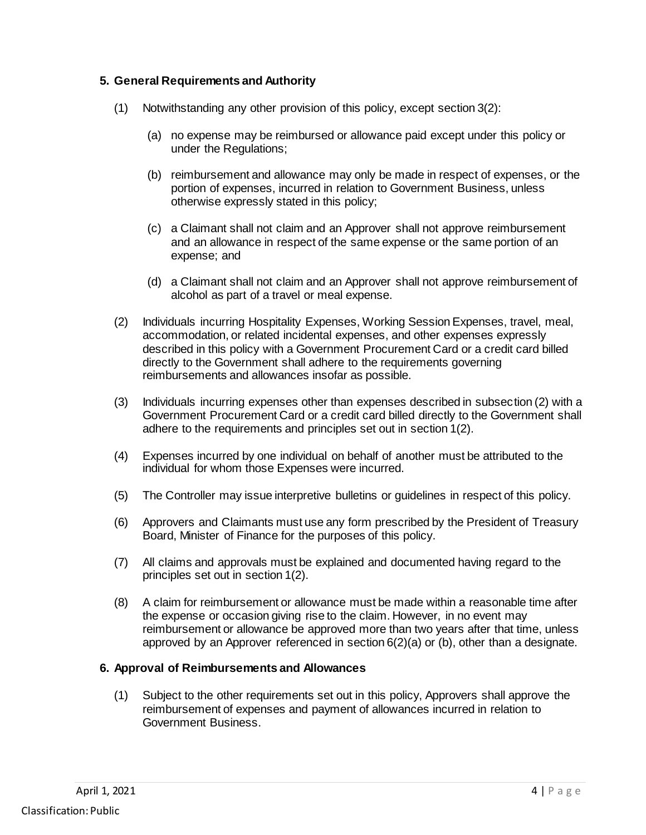### **5. General Requirements and Authority**

- (1) Notwithstanding any other provision of this policy, except section 3(2):
	- (a) no expense may be reimbursed or allowance paid except under this policy or under the Regulations;
	- (b) reimbursement and allowance may only be made in respect of expenses, or the portion of expenses, incurred in relation to Government Business, unless otherwise expressly stated in this policy;
	- (c) a Claimant shall not claim and an Approver shall not approve reimbursement and an allowance in respect of the same expense or the same portion of an expense; and
	- (d) a Claimant shall not claim and an Approver shall not approve reimbursement of alcohol as part of a travel or meal expense.
- (2) Individuals incurring Hospitality Expenses, Working Session Expenses, travel, meal, accommodation, or related incidental expenses, and other expenses expressly described in this policy with a Government Procurement Card or a credit card billed directly to the Government shall adhere to the requirements governing reimbursements and allowances insofar as possible.
- (3) Individuals incurring expenses other than expenses described in subsection (2) with a Government Procurement Card or a credit card billed directly to the Government shall adhere to the requirements and principles set out in section 1(2).
- (4) Expenses incurred by one individual on behalf of another must be attributed to the individual for whom those Expenses were incurred.
- (5) The Controller may issue interpretive bulletins or guidelines in respect of this policy.
- (6) Approvers and Claimants must use any form prescribed by the President of Treasury Board, Minister of Finance for the purposes of this policy.
- (7) All claims and approvals must be explained and documented having regard to the principles set out in section 1(2).
- (8) A claim for reimbursement or allowance must be made within a reasonable time after the expense or occasion giving rise to the claim. However, in no event may reimbursement or allowance be approved more than two years after that time, unless approved by an Approver referenced in section 6(2)(a) or (b), other than a designate.

#### **6. Approval of Reimbursements and Allowances**

(1) Subject to the other requirements set out in this policy, Approvers shall approve the reimbursement of expenses and payment of allowances incurred in relation to Government Business.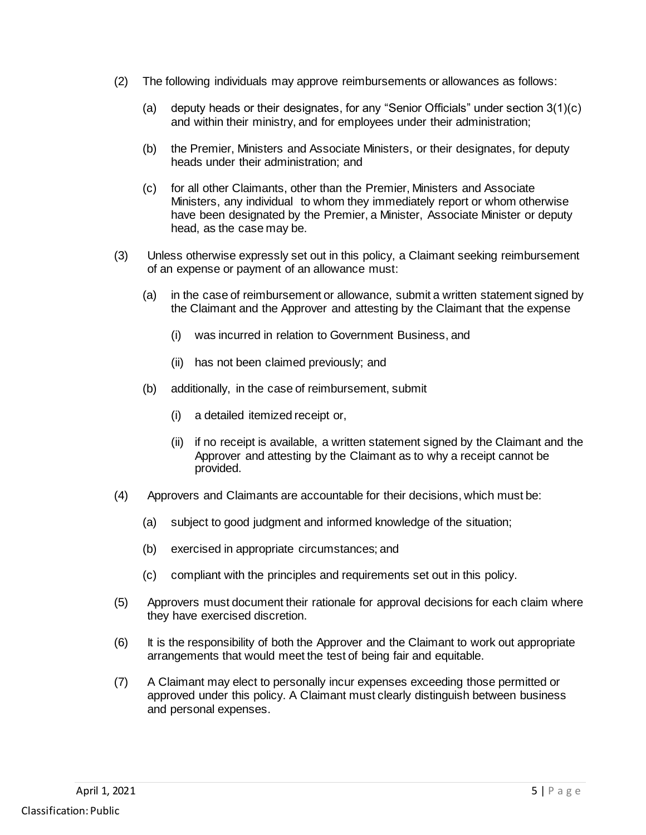- (2) The following individuals may approve reimbursements or allowances as follows:
	- (a) deputy heads or their designates, for any "Senior Officials" under section  $3(1)(c)$ and within their ministry, and for employees under their administration;
	- (b) the Premier, Ministers and Associate Ministers, or their designates, for deputy heads under their administration; and
	- (c) for all other Claimants, other than the Premier, Ministers and Associate Ministers, any individual to whom they immediately report or whom otherwise have been designated by the Premier, a Minister, Associate Minister or deputy head, as the case may be.
- (3) Unless otherwise expressly set out in this policy, a Claimant seeking reimbursement of an expense or payment of an allowance must:
	- (a) in the case of reimbursement or allowance, submit a written statement signed by the Claimant and the Approver and attesting by the Claimant that the expense
		- (i) was incurred in relation to Government Business, and
		- (ii) has not been claimed previously; and
	- (b) additionally, in the case of reimbursement, submit
		- (i) a detailed itemized receipt or,
		- (ii) if no receipt is available, a written statement signed by the Claimant and the Approver and attesting by the Claimant as to why a receipt cannot be provided.
- (4) Approvers and Claimants are accountable for their decisions, which must be:
	- (a) subject to good judgment and informed knowledge of the situation;
	- (b) exercised in appropriate circumstances; and
	- (c) compliant with the principles and requirements set out in this policy.
- (5) Approvers must document their rationale for approval decisions for each claim where they have exercised discretion.
- (6) It is the responsibility of both the Approver and the Claimant to work out appropriate arrangements that would meet the test of being fair and equitable.
- (7) A Claimant may elect to personally incur expenses exceeding those permitted or approved under this policy. A Claimant must clearly distinguish between business and personal expenses.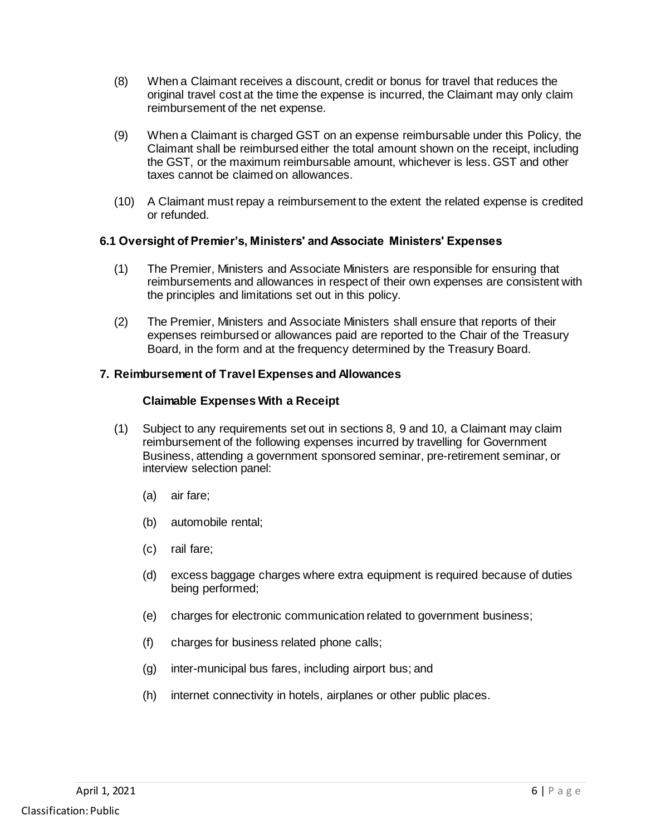- (8) When a Claimant receives a discount, credit or bonus for travel that reduces the original travel cost at the time the expense is incurred, the Claimant may only claim reimbursement of the net expense.
- (9) When a Claimant is charged GST on an expense reimbursable under this Policy, the Claimant shall be reimbursed either the total amount shown on the receipt, including the GST, or the maximum reimbursable amount, whichever is less. GST and other taxes cannot be claimed on allowances.
- (10) A Claimant must repay a reimbursement to the extent the related expense is credited or refunded.

### **6.1 Oversight of Premier's, Ministers' and Associate Ministers' Expenses**

- (1) The Premier, Ministers and Associate Ministers are responsible for ensuring that reimbursements and allowances in respect of their own expenses are consistent with the principles and limitations set out in this policy.
- (2) The Premier, Ministers and Associate Ministers shall ensure that reports of their expenses reimbursed or allowances paid are reported to the Chair of the Treasury Board, in the form and at the frequency determined by the Treasury Board.

### **7. Reimbursement of Travel Expenses and Allowances**

#### **Claimable Expenses With a Receipt**

- (1) Subject to any requirements set out in sections 8, 9 and 10, a Claimant may claim reimbursement of the following expenses incurred by travelling for Government Business, attending a government sponsored seminar, pre-retirement seminar, or interview selection panel:
	- (a) air fare;
	- (b) automobile rental;
	- (c) rail fare;
	- (d) excess baggage charges where extra equipment is required because of duties being performed;
	- (e) charges for electronic communication related to government business;
	- (f) charges for business related phone calls;
	- (g) inter-municipal bus fares, including airport bus; and
	- (h) internet connectivity in hotels, airplanes or other public places.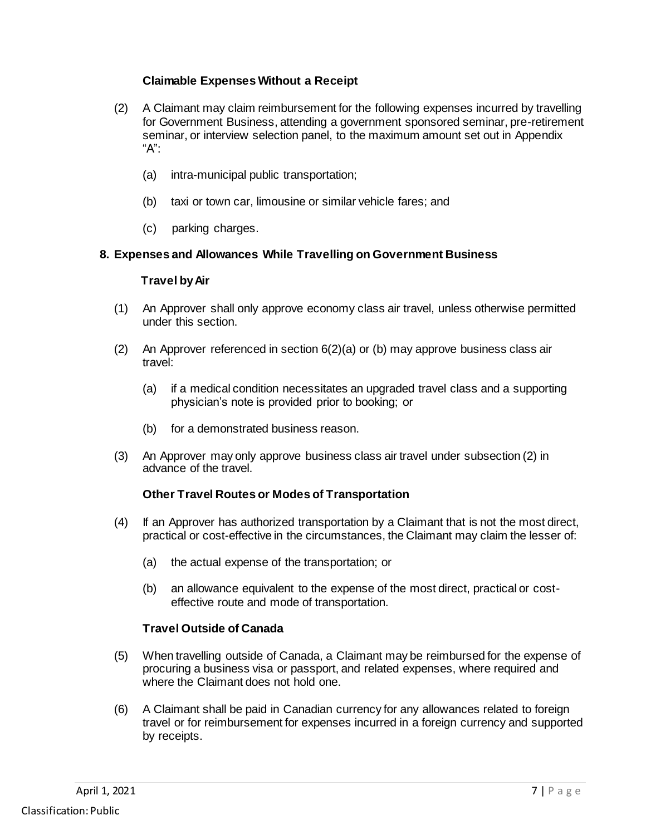### **Claimable Expenses Without a Receipt**

- (2) A Claimant may claim reimbursement for the following expenses incurred by travelling for Government Business, attending a government sponsored seminar, pre-retirement seminar, or interview selection panel, to the maximum amount set out in Appendix "A":
	- (a) intra-municipal public transportation;
	- (b) taxi or town car, limousine or similar vehicle fares; and
	- (c) parking charges.

### **8. Expenses and Allowances While Travelling on Government Business**

#### **Travel by Air**

- (1) An Approver shall only approve economy class air travel, unless otherwise permitted under this section.
- (2) An Approver referenced in section 6(2)(a) or (b) may approve business class air travel:
	- (a) if a medical condition necessitates an upgraded travel class and a supporting physician's note is provided prior to booking; or
	- (b) for a demonstrated business reason.
- (3) An Approver may only approve business class air travel under subsection (2) in advance of the travel.

#### **Other Travel Routes or Modes of Transportation**

- (4) If an Approver has authorized transportation by a Claimant that is not the most direct, practical or cost-effective in the circumstances, the Claimant may claim the lesser of:
	- (a) the actual expense of the transportation; or
	- (b) an allowance equivalent to the expense of the most direct, practical or costeffective route and mode of transportation.

### **Travel Outside of Canada**

- (5) When travelling outside of Canada, a Claimant may be reimbursed for the expense of procuring a business visa or passport, and related expenses, where required and where the Claimant does not hold one.
- (6) A Claimant shall be paid in Canadian currency for any allowances related to foreign travel or for reimbursement for expenses incurred in a foreign currency and supported by receipts.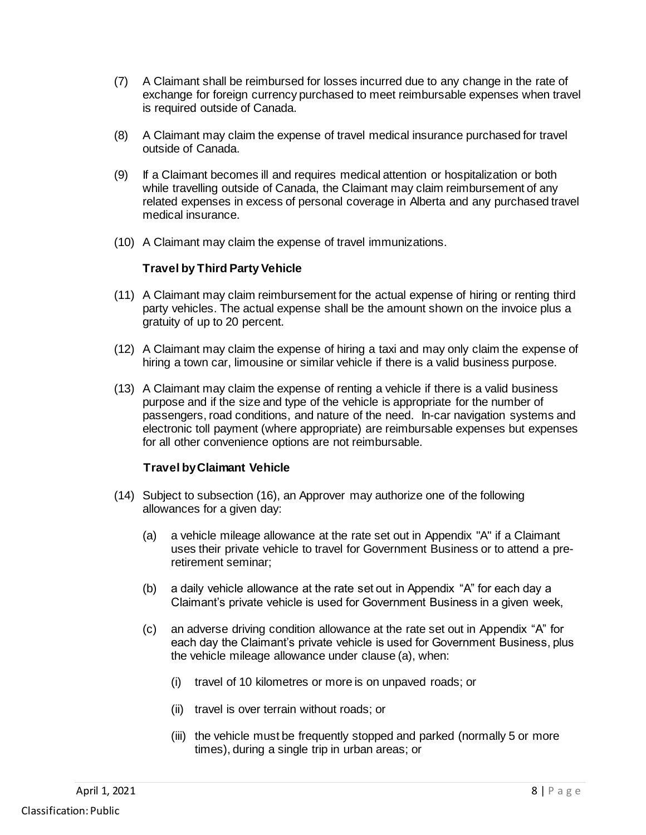- (7) A Claimant shall be reimbursed for losses incurred due to any change in the rate of exchange for foreign currency purchased to meet reimbursable expenses when travel is required outside of Canada.
- (8) A Claimant may claim the expense of travel medical insurance purchased for travel outside of Canada.
- (9) If a Claimant becomes ill and requires medical attention or hospitalization or both while travelling outside of Canada, the Claimant may claim reimbursement of any related expenses in excess of personal coverage in Alberta and any purchased travel medical insurance.
- (10) A Claimant may claim the expense of travel immunizations.

#### **Travel by Third Party Vehicle**

- (11) A Claimant may claim reimbursement for the actual expense of hiring or renting third party vehicles. The actual expense shall be the amount shown on the invoice plus a gratuity of up to 20 percent.
- (12) A Claimant may claim the expense of hiring a taxi and may only claim the expense of hiring a town car, limousine or similar vehicle if there is a valid business purpose.
- (13) A Claimant may claim the expense of renting a vehicle if there is a valid business purpose and if the size and type of the vehicle is appropriate for the number of passengers, road conditions, and nature of the need. In-car navigation systems and electronic toll payment (where appropriate) are reimbursable expenses but expenses for all other convenience options are not reimbursable.

#### **Travel by Claimant Vehicle**

- (14) Subject to subsection (16), an Approver may authorize one of the following allowances for a given day:
	- (a) a vehicle mileage allowance at the rate set out in Appendix "A" if a Claimant uses their private vehicle to travel for Government Business or to attend a preretirement seminar;
	- (b) a daily vehicle allowance at the rate set out in Appendix "A" for each day a Claimant's private vehicle is used for Government Business in a given week,
	- (c) an adverse driving condition allowance at the rate set out in Appendix "A" for each day the Claimant's private vehicle is used for Government Business, plus the vehicle mileage allowance under clause (a), when:
		- (i) travel of 10 kilometres or more is on unpaved roads; or
		- (ii) travel is over terrain without roads; or
		- (iii) the vehicle must be frequently stopped and parked (normally 5 or more times), during a single trip in urban areas; or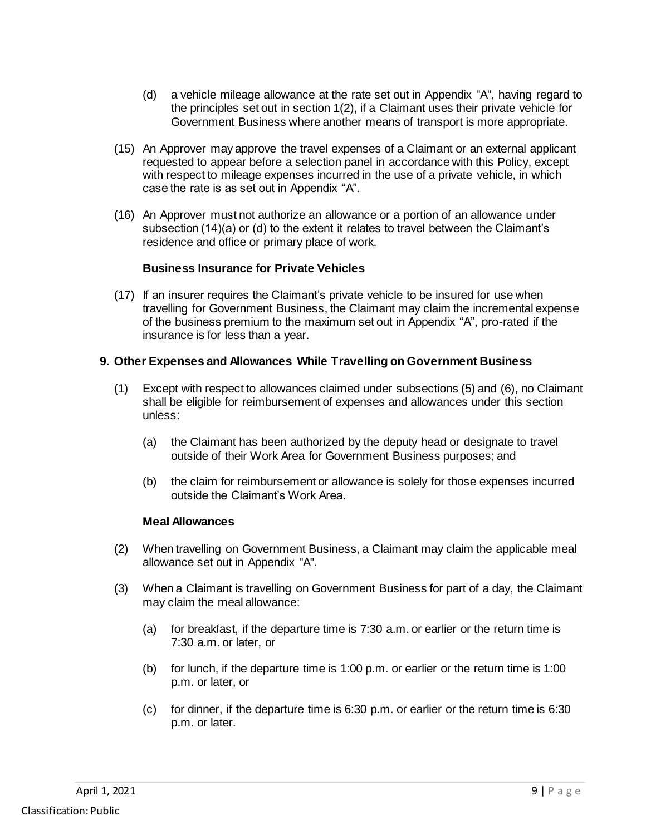- (d) a vehicle mileage allowance at the rate set out in Appendix "A", having regard to the principles set out in section 1(2), if a Claimant uses their private vehicle for Government Business where another means of transport is more appropriate.
- (15) An Approver may approve the travel expenses of a Claimant or an external applicant requested to appear before a selection panel in accordance with this Policy, except with respect to mileage expenses incurred in the use of a private vehicle, in which case the rate is as set out in Appendix "A".
- (16) An Approver must not authorize an allowance or a portion of an allowance under subsection (14)(a) or (d) to the extent it relates to travel between the Claimant's residence and office or primary place of work.

#### **Business Insurance for Private Vehicles**

(17) If an insurer requires the Claimant's private vehicle to be insured for use when travelling for Government Business, the Claimant may claim the incremental expense of the business premium to the maximum set out in Appendix "A", pro-rated if the insurance is for less than a year.

#### **9. Other Expenses and Allowances While Travelling on Government Business**

- (1) Except with respect to allowances claimed under subsections (5) and (6), no Claimant shall be eligible for reimbursement of expenses and allowances under this section unless:
	- (a) the Claimant has been authorized by the deputy head or designate to travel outside of their Work Area for Government Business purposes; and
	- (b) the claim for reimbursement or allowance is solely for those expenses incurred outside the Claimant's Work Area.

#### **Meal Allowances**

- (2) When travelling on Government Business, a Claimant may claim the applicable meal allowance set out in Appendix "A".
- (3) When a Claimant is travelling on Government Business for part of a day, the Claimant may claim the meal allowance:
	- (a) for breakfast, if the departure time is  $7:30$  a.m. or earlier or the return time is 7:30 a.m. or later, or
	- (b) for lunch, if the departure time is 1:00 p.m. or earlier or the return time is 1:00 p.m. or later, or
	- (c) for dinner, if the departure time is 6:30 p.m. or earlier or the return time is 6:30 p.m. or later.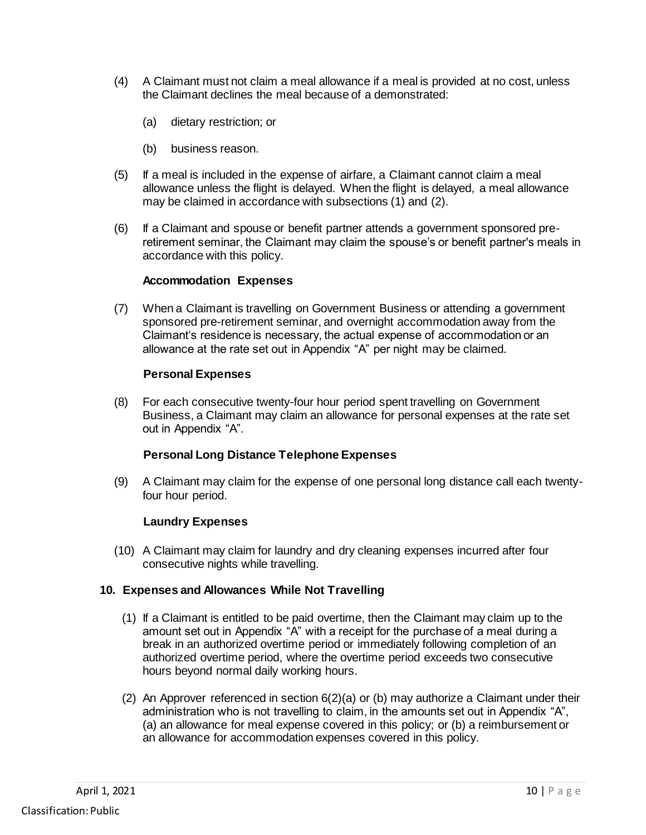- (4) A Claimant must not claim a meal allowance if a meal is provided at no cost, unless the Claimant declines the meal because of a demonstrated:
	- (a) dietary restriction; or
	- (b) business reason.
- (5) If a meal is included in the expense of airfare, a Claimant cannot claim a meal allowance unless the flight is delayed. When the flight is delayed, a meal allowance may be claimed in accordance with subsections (1) and (2).
- (6) If a Claimant and spouse or benefit partner attends a government sponsored preretirement seminar, the Claimant may claim the spouse's or benefit partner's meals in accordance with this policy.

#### **Accommodation Expenses**

(7) When a Claimant is travelling on Government Business or attending a government sponsored pre-retirement seminar, and overnight accommodation away from the Claimant's residence is necessary, the actual expense of accommodation or an allowance at the rate set out in Appendix "A" per night may be claimed.

#### **Personal Expenses**

(8) For each consecutive twenty-four hour period spent travelling on Government Business, a Claimant may claim an allowance for personal expenses at the rate set out in Appendix "A".

#### **Personal Long Distance Telephone Expenses**

(9) A Claimant may claim for the expense of one personal long distance call each twentyfour hour period.

#### **Laundry Expenses**

(10) A Claimant may claim for laundry and dry cleaning expenses incurred after four consecutive nights while travelling.

#### **10. Expenses and Allowances While Not Travelling**

- (1) If a Claimant is entitled to be paid overtime, then the Claimant may claim up to the amount set out in Appendix "A" with a receipt for the purchase of a meal during a break in an authorized overtime period or immediately following completion of an authorized overtime period, where the overtime period exceeds two consecutive hours beyond normal daily working hours.
- (2) An Approver referenced in section 6(2)(a) or (b) may authorize a Claimant under their administration who is not travelling to claim, in the amounts set out in Appendix "A", (a) an allowance for meal expense covered in this policy; or (b) a reimbursement or an allowance for accommodation expenses covered in this policy.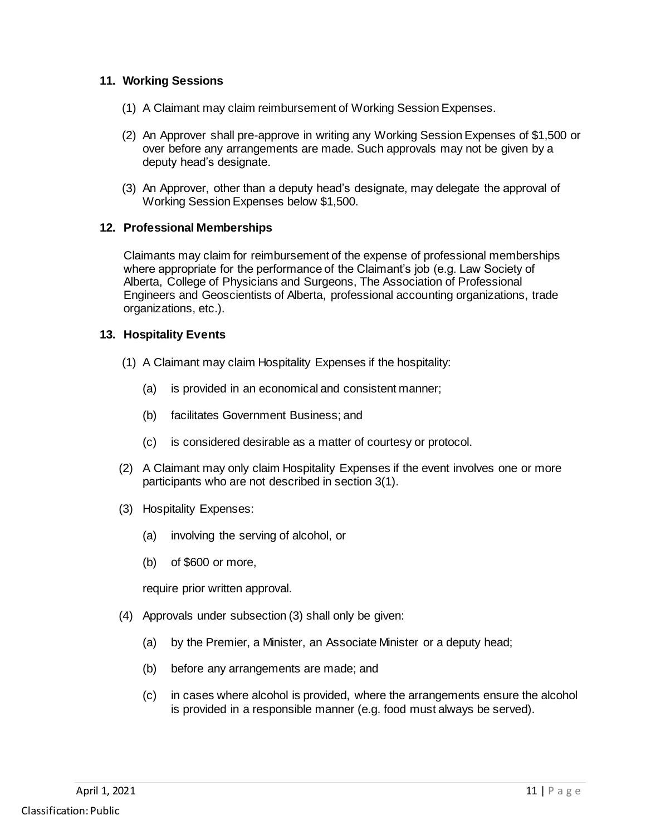### **11. Working Sessions**

- (1) A Claimant may claim reimbursement of Working Session Expenses.
- (2) An Approver shall pre-approve in writing any Working Session Expenses of \$1,500 or over before any arrangements are made. Such approvals may not be given by a deputy head's designate.
- (3) An Approver, other than a deputy head's designate, may delegate the approval of Working Session Expenses below \$1,500.

#### **12. Professional Memberships**

Claimants may claim for reimbursement of the expense of professional memberships where appropriate for the performance of the Claimant's job (e.g. Law Society of Alberta, College of Physicians and Surgeons, The Association of Professional Engineers and Geoscientists of Alberta, professional accounting organizations, trade organizations, etc.).

#### **13. Hospitality Events**

- (1) A Claimant may claim Hospitality Expenses if the hospitality:
	- (a) is provided in an economical and consistent manner;
	- (b) facilitates Government Business; and
	- (c) is considered desirable as a matter of courtesy or protocol.
- (2) A Claimant may only claim Hospitality Expenses if the event involves one or more participants who are not described in section 3(1).
- (3) Hospitality Expenses:
	- (a) involving the serving of alcohol, or
	- (b) of \$600 or more,

require prior written approval.

- (4) Approvals under subsection (3) shall only be given:
	- (a) by the Premier, a Minister, an Associate Minister or a deputy head;
	- (b) before any arrangements are made; and
	- (c) in cases where alcohol is provided, where the arrangements ensure the alcohol is provided in a responsible manner (e.g. food must always be served).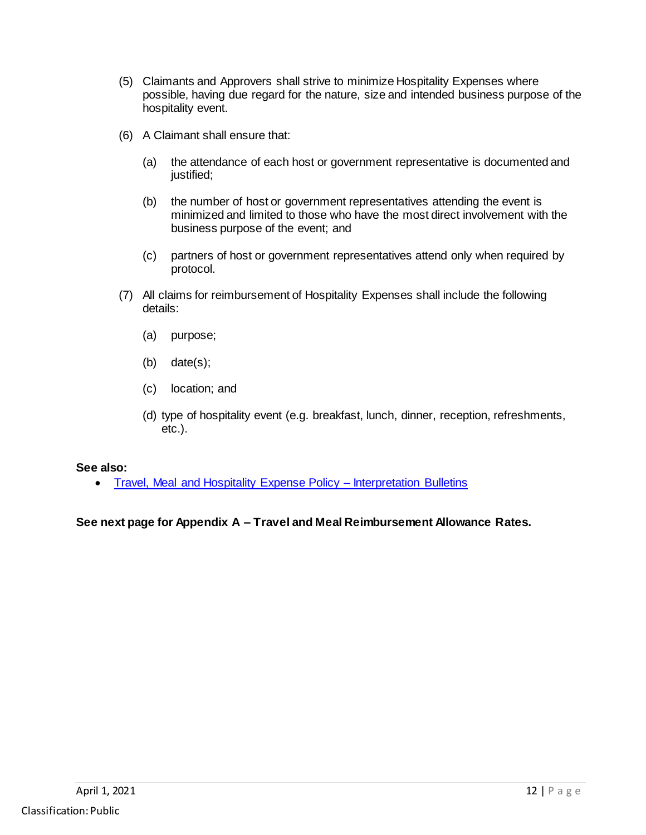- (5) Claimants and Approvers shall strive to minimize Hospitality Expenses where possible, having due regard for the nature, size and intended business purpose of the hospitality event.
- (6) A Claimant shall ensure that:
	- (a) the attendance of each host or government representative is documented and justified;
	- (b) the number of host or government representatives attending the event is minimized and limited to those who have the most direct involvement with the business purpose of the event; and
	- (c) partners of host or government representatives attend only when required by protocol.
- (7) All claims for reimbursement of Hospitality Expenses shall include the following details:
	- (a) purpose;
	- (b) date(s);
	- (c) location; and
	- (d) type of hospitality event (e.g. breakfast, lunch, dinner, reception, refreshments, etc.).

#### **See also:**

• [Travel, Meal and Hospitality Expense Policy –](https://open.alberta.ca/publications/travel-meal-and-hospitality-expenses-policy-expenses-policy) Interpretation Bulletins

### **See next page for Appendix A – Travel and Meal Reimbursement Allowance Rates.**